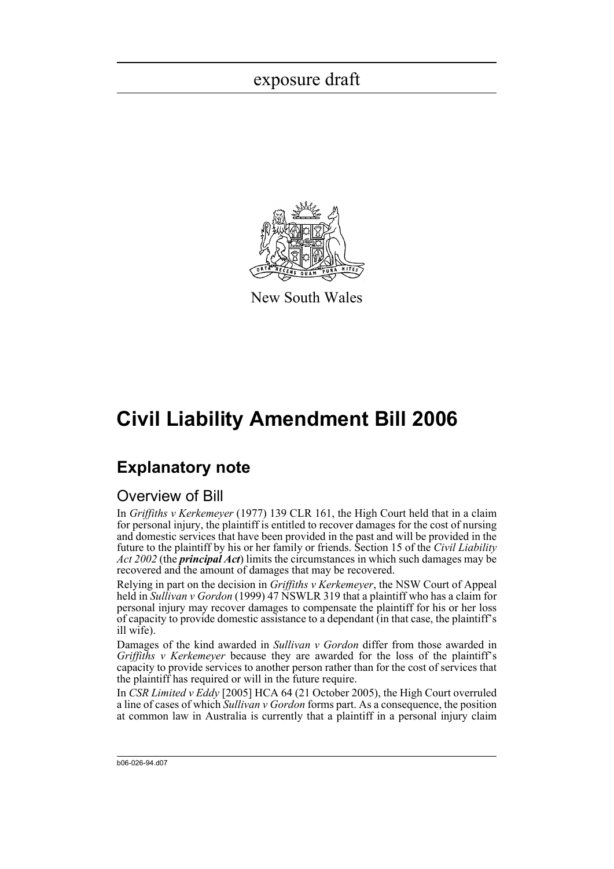

New South Wales

# **Civil Liability Amendment Bill 2006**

## **Explanatory note**

### Overview of Bill

In *Griffiths v Kerkemeyer* (1977) 139 CLR 161, the High Court held that in a claim for personal injury, the plaintiff is entitled to recover damages for the cost of nursing and domestic services that have been provided in the past and will be provided in the future to the plaintiff by his or her family or friends. Section 15 of the *Civil Liability Act 2002* (the *principal Act*) limits the circumstances in which such damages may be recovered and the amount of damages that may be recovered.

Relying in part on the decision in *Griffiths v Kerkemeyer*, the NSW Court of Appeal held in *Sullivan v Gordon* (1999) 47 NSWLR 319 that a plaintiff who has a claim for personal injury may recover damages to compensate the plaintiff for his or her loss of capacity to provide domestic assistance to a dependant (in that case, the plaintiff's ill wife).

Damages of the kind awarded in *Sullivan v Gordon* differ from those awarded in *Griffiths v Kerkemeyer* because they are awarded for the loss of the plaintiff's capacity to provide services to another person rather than for the cost of services that the plaintiff has required or will in the future require.

In *CSR Limited v Eddy* [2005] HCA 64 (21 October 2005), the High Court overruled a line of cases of which *Sullivan v Gordon* forms part. As a consequence, the position at common law in Australia is currently that a plaintiff in a personal injury claim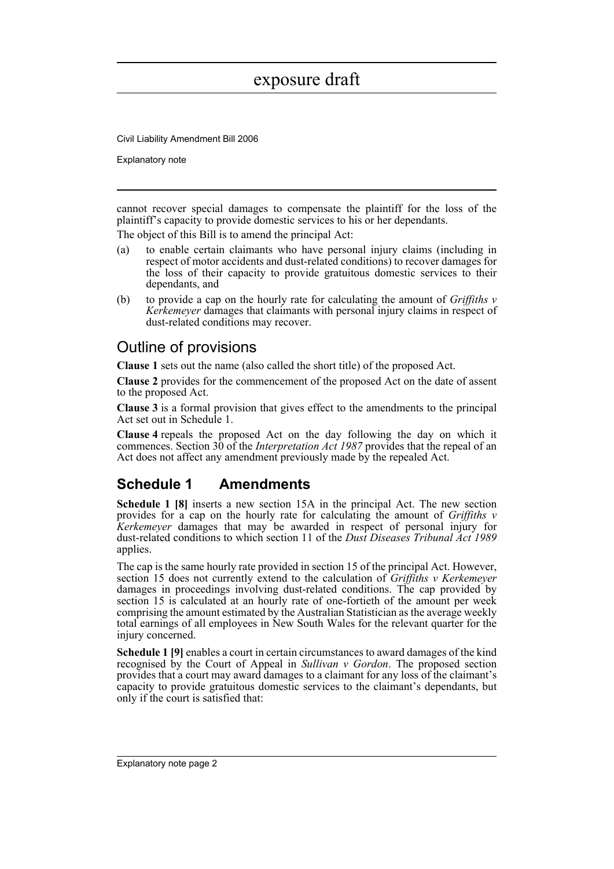Civil Liability Amendment Bill 2006

Explanatory note

cannot recover special damages to compensate the plaintiff for the loss of the plaintiff's capacity to provide domestic services to his or her dependants.

The object of this Bill is to amend the principal Act:

- (a) to enable certain claimants who have personal injury claims (including in respect of motor accidents and dust-related conditions) to recover damages for the loss of their capacity to provide gratuitous domestic services to their dependants, and
- (b) to provide a cap on the hourly rate for calculating the amount of *Griffiths v Kerkemeyer* damages that claimants with personal injury claims in respect of dust-related conditions may recover.

## Outline of provisions

**Clause 1** sets out the name (also called the short title) of the proposed Act.

**Clause 2** provides for the commencement of the proposed Act on the date of assent to the proposed Act.

**Clause 3** is a formal provision that gives effect to the amendments to the principal Act set out in Schedule 1.

**Clause 4** repeals the proposed Act on the day following the day on which it commences. Section 30 of the *Interpretation Act 1987* provides that the repeal of an Act does not affect any amendment previously made by the repealed Act.

## **Schedule 1 Amendments**

**Schedule 1 [8]** inserts a new section 15A in the principal Act. The new section provides for a cap on the hourly rate for calculating the amount of *Griffiths v Kerkemeyer* damages that may be awarded in respect of personal injury for dust-related conditions to which section 11 of the *Dust Diseases Tribunal Act 1989* applies.

The cap is the same hourly rate provided in section 15 of the principal Act. However, section 15 does not currently extend to the calculation of *Griffiths v Kerkemeyer* damages in proceedings involving dust-related conditions. The cap provided by section 15 is calculated at an hourly rate of one-fortieth of the amount per week comprising the amount estimated by the Australian Statistician as the average weekly total earnings of all employees in New South Wales for the relevant quarter for the injury concerned.

**Schedule 1 [9]** enables a court in certain circumstances to award damages of the kind recognised by the Court of Appeal in *Sullivan v Gordon*. The proposed section provides that a court may award damages to a claimant for any loss of the claimant's capacity to provide gratuitous domestic services to the claimant's dependants, but only if the court is satisfied that: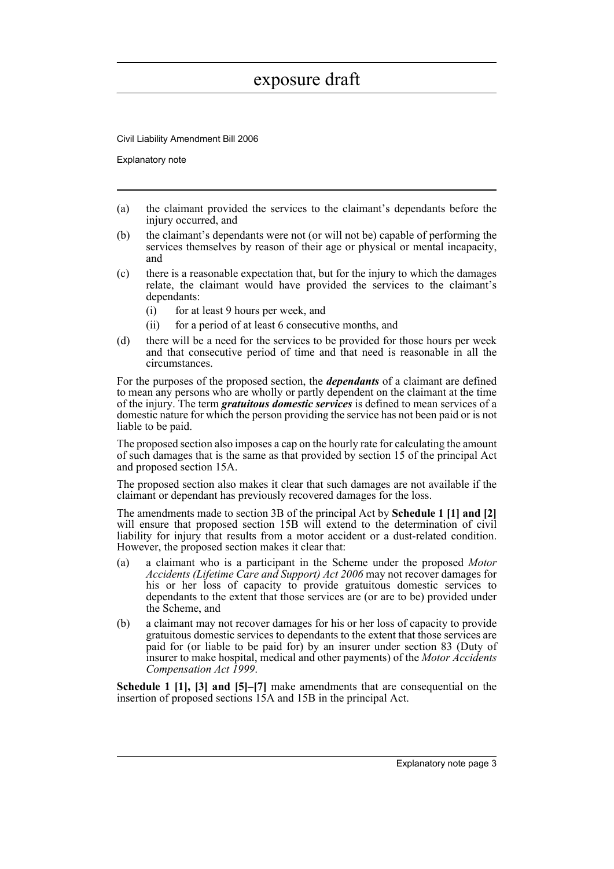Civil Liability Amendment Bill 2006

Explanatory note

- (a) the claimant provided the services to the claimant's dependants before the injury occurred, and
- (b) the claimant's dependants were not (or will not be) capable of performing the services themselves by reason of their age or physical or mental incapacity, and
- (c) there is a reasonable expectation that, but for the injury to which the damages relate, the claimant would have provided the services to the claimant's dependants:
	- (i) for at least 9 hours per week, and
	- (ii) for a period of at least 6 consecutive months, and
- (d) there will be a need for the services to be provided for those hours per week and that consecutive period of time and that need is reasonable in all the circumstances.

For the purposes of the proposed section, the *dependants* of a claimant are defined to mean any persons who are wholly or partly dependent on the claimant at the time of the injury. The term *gratuitous domestic services* is defined to mean services of a domestic nature for which the person providing the service has not been paid or is not liable to be paid.

The proposed section also imposes a cap on the hourly rate for calculating the amount of such damages that is the same as that provided by section 15 of the principal Act and proposed section 15A.

The proposed section also makes it clear that such damages are not available if the claimant or dependant has previously recovered damages for the loss.

The amendments made to section 3B of the principal Act by **Schedule 1 [1] and [2]** will ensure that proposed section 15B will extend to the determination of civil liability for injury that results from a motor accident or a dust-related condition. However, the proposed section makes it clear that:

- (a) a claimant who is a participant in the Scheme under the proposed *Motor Accidents (Lifetime Care and Support) Act 2006* may not recover damages for his or her loss of capacity to provide gratuitous domestic services to dependants to the extent that those services are (or are to be) provided under the Scheme, and
- (b) a claimant may not recover damages for his or her loss of capacity to provide gratuitous domestic services to dependants to the extent that those services are paid for (or liable to be paid for) by an insurer under section 83 (Duty of insurer to make hospital, medical and other payments) of the *Motor Accidents Compensation Act 1999*.

**Schedule 1 [1], [3] and [5]–[7]** make amendments that are consequential on the insertion of proposed sections 15A and 15B in the principal Act.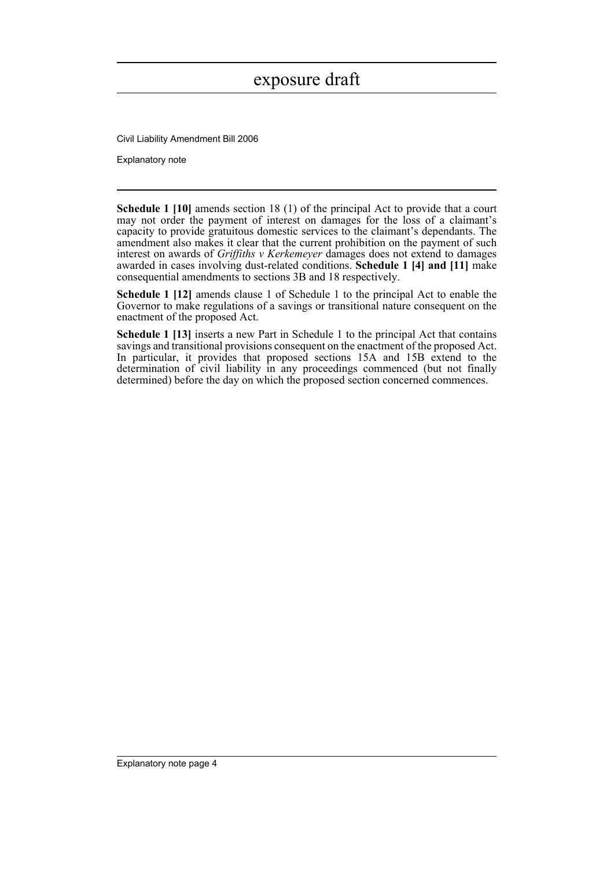Civil Liability Amendment Bill 2006

Explanatory note

**Schedule 1 [10]** amends section 18 (1) of the principal Act to provide that a court may not order the payment of interest on damages for the loss of a claimant's capacity to provide gratuitous domestic services to the claimant's dependants. The amendment also makes it clear that the current prohibition on the payment of such interest on awards of *Griffiths v Kerkemeyer* damages does not extend to damages awarded in cases involving dust-related conditions. **Schedule 1 [4] and [11]** make consequential amendments to sections 3B and 18 respectively.

**Schedule 1 [12]** amends clause 1 of Schedule 1 to the principal Act to enable the Governor to make regulations of a savings or transitional nature consequent on the enactment of the proposed Act.

**Schedule 1 [13]** inserts a new Part in Schedule 1 to the principal Act that contains savings and transitional provisions consequent on the enactment of the proposed Act. In particular, it provides that proposed sections 15A and 15B extend to the determination of civil liability in any proceedings commenced (but not finally determined) before the day on which the proposed section concerned commences.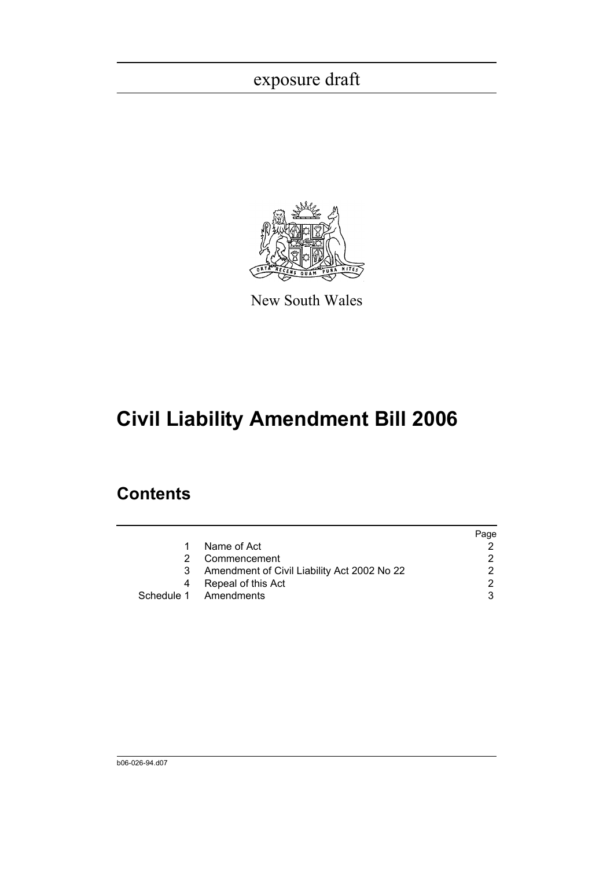

New South Wales

# **Civil Liability Amendment Bill 2006**

## **Contents**

|   |                                               | Page |
|---|-----------------------------------------------|------|
|   | Name of Act                                   |      |
|   | Commencement                                  |      |
|   | 3 Amendment of Civil Liability Act 2002 No 22 |      |
| 4 | Repeal of this Act                            |      |
|   | Schedule 1 Amendments                         |      |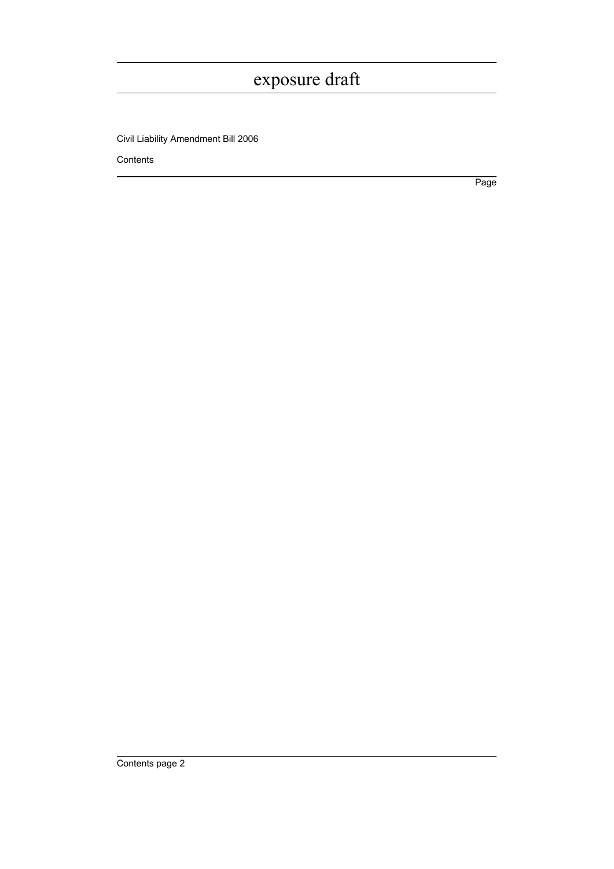Civil Liability Amendment Bill 2006

Contents

Page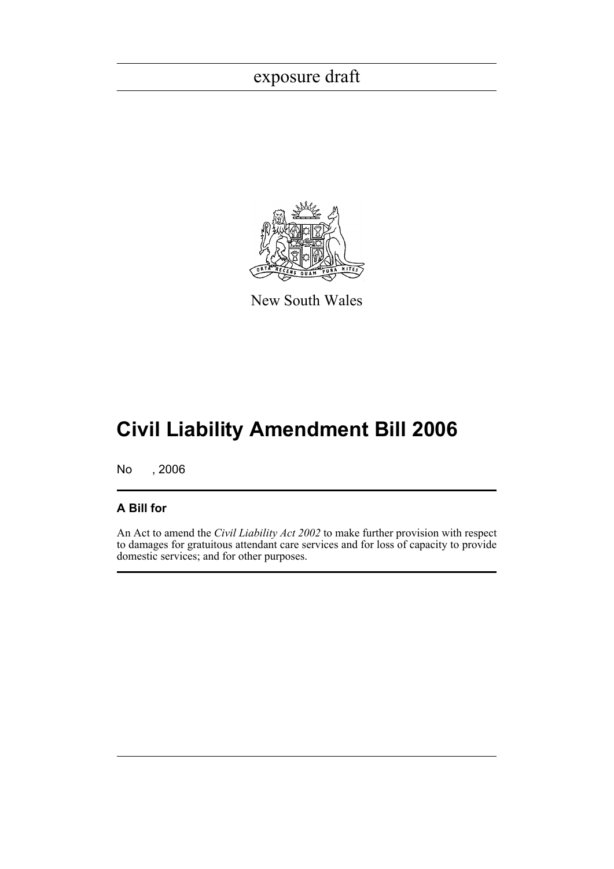

New South Wales

# **Civil Liability Amendment Bill 2006**

No , 2006

### **A Bill for**

An Act to amend the *Civil Liability Act 2002* to make further provision with respect to damages for gratuitous attendant care services and for loss of capacity to provide domestic services; and for other purposes.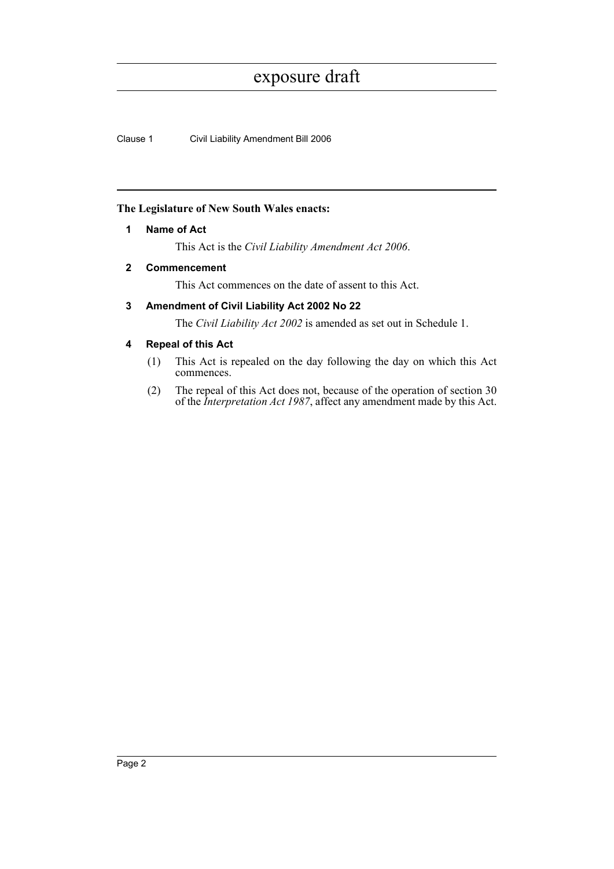Clause 1 Civil Liability Amendment Bill 2006

#### <span id="page-7-0"></span>**The Legislature of New South Wales enacts:**

#### **1 Name of Act**

This Act is the *Civil Liability Amendment Act 2006*.

#### <span id="page-7-1"></span>**2 Commencement**

This Act commences on the date of assent to this Act.

### <span id="page-7-2"></span>**3 Amendment of Civil Liability Act 2002 No 22**

The *Civil Liability Act 2002* is amended as set out in Schedule 1.

#### <span id="page-7-3"></span>**4 Repeal of this Act**

- (1) This Act is repealed on the day following the day on which this Act commences.
- (2) The repeal of this Act does not, because of the operation of section 30 of the *Interpretation Act 1987*, affect any amendment made by this Act.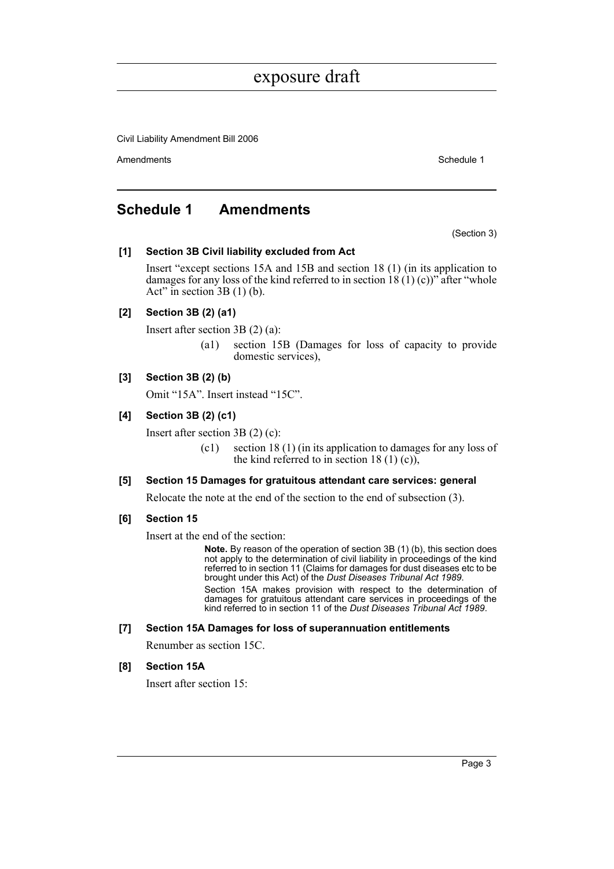Civil Liability Amendment Bill 2006

Amendments **Amendments** Schedule 1

### <span id="page-8-0"></span>**Schedule 1 Amendments**

(Section 3)

#### **[1] Section 3B Civil liability excluded from Act**

Insert "except sections 15A and 15B and section 18 (1) (in its application to damages for any loss of the kind referred to in section  $18(1)(c)$ " after "whole Act" in section  $3B(1)$  (b).

#### **[2] Section 3B (2) (a1)**

Insert after section 3B (2) (a):

(a1) section 15B (Damages for loss of capacity to provide domestic services),

#### **[3] Section 3B (2) (b)**

Omit "15A". Insert instead "15C".

#### **[4] Section 3B (2) (c1)**

Insert after section 3B (2) (c):

(c1) section 18 (1) (in its application to damages for any loss of the kind referred to in section 18 (1) (c)),

#### **[5] Section 15 Damages for gratuitous attendant care services: general**

Relocate the note at the end of the section to the end of subsection (3).

#### **[6] Section 15**

Insert at the end of the section:

**Note.** By reason of the operation of section 3B (1) (b), this section does not apply to the determination of civil liability in proceedings of the kind referred to in section 11 (Claims for damages for dust diseases etc to be brought under this Act) of the *Dust Diseases Tribunal Act 1989*.

Section 15A makes provision with respect to the determination of damages for gratuitous attendant care services in proceedings of the kind referred to in section 11 of the *Dust Diseases Tribunal Act 1989*.

#### **[7] Section 15A Damages for loss of superannuation entitlements**

Renumber as section 15C.

#### **[8] Section 15A**

Insert after section 15: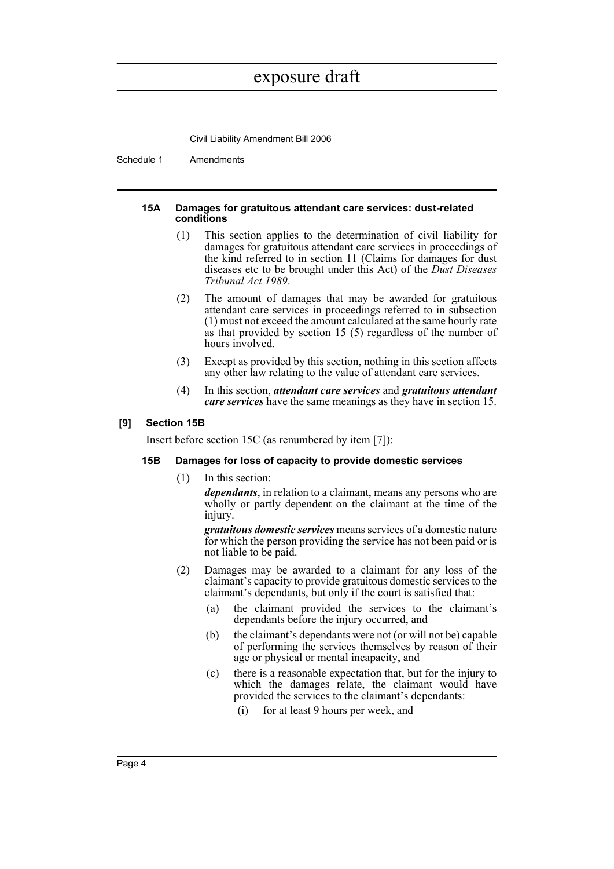Civil Liability Amendment Bill 2006

Schedule 1 Amendments

#### **15A Damages for gratuitous attendant care services: dust-related conditions**

- (1) This section applies to the determination of civil liability for damages for gratuitous attendant care services in proceedings of the kind referred to in section 11 (Claims for damages for dust diseases etc to be brought under this Act) of the *Dust Diseases Tribunal Act 1989*.
- (2) The amount of damages that may be awarded for gratuitous attendant care services in proceedings referred to in subsection (1) must not exceed the amount calculated at the same hourly rate as that provided by section 15 (5) regardless of the number of hours involved.
- (3) Except as provided by this section, nothing in this section affects any other law relating to the value of attendant care services.
- (4) In this section, *attendant care services* and *gratuitous attendant care services* have the same meanings as they have in section 15.

#### **[9] Section 15B**

Insert before section 15C (as renumbered by item [7]):

#### **15B Damages for loss of capacity to provide domestic services**

(1) In this section:

*dependants*, in relation to a claimant, means any persons who are wholly or partly dependent on the claimant at the time of the injury.

*gratuitous domestic services* means services of a domestic nature for which the person providing the service has not been paid or is not liable to be paid.

- (2) Damages may be awarded to a claimant for any loss of the claimant's capacity to provide gratuitous domestic services to the claimant's dependants, but only if the court is satisfied that:
	- (a) the claimant provided the services to the claimant's dependants before the injury occurred, and
	- (b) the claimant's dependants were not (or will not be) capable of performing the services themselves by reason of their age or physical or mental incapacity, and
	- (c) there is a reasonable expectation that, but for the injury to which the damages relate, the claimant would have provided the services to the claimant's dependants:
		- (i) for at least 9 hours per week, and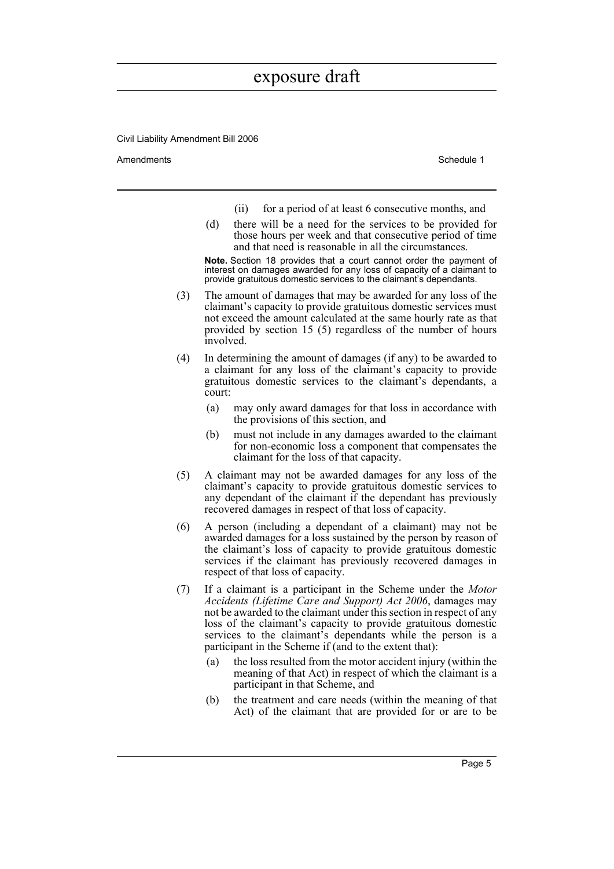Civil Liability Amendment Bill 2006

Amendments **Amendments** Schedule 1

- (ii) for a period of at least 6 consecutive months, and
- (d) there will be a need for the services to be provided for those hours per week and that consecutive period of time and that need is reasonable in all the circumstances.

**Note.** Section 18 provides that a court cannot order the payment of interest on damages awarded for any loss of capacity of a claimant to provide gratuitous domestic services to the claimant's dependants.

- (3) The amount of damages that may be awarded for any loss of the claimant's capacity to provide gratuitous domestic services must not exceed the amount calculated at the same hourly rate as that provided by section 15 (5) regardless of the number of hours involved.
- (4) In determining the amount of damages (if any) to be awarded to a claimant for any loss of the claimant's capacity to provide gratuitous domestic services to the claimant's dependants, a court:
	- (a) may only award damages for that loss in accordance with the provisions of this section, and
	- (b) must not include in any damages awarded to the claimant for non-economic loss a component that compensates the claimant for the loss of that capacity.
- (5) A claimant may not be awarded damages for any loss of the claimant's capacity to provide gratuitous domestic services to any dependant of the claimant if the dependant has previously recovered damages in respect of that loss of capacity.
- (6) A person (including a dependant of a claimant) may not be awarded damages for a loss sustained by the person by reason of the claimant's loss of capacity to provide gratuitous domestic services if the claimant has previously recovered damages in respect of that loss of capacity.
- (7) If a claimant is a participant in the Scheme under the *Motor Accidents (Lifetime Care and Support) Act 2006*, damages may not be awarded to the claimant under this section in respect of any loss of the claimant's capacity to provide gratuitous domestic services to the claimant's dependants while the person is a participant in the Scheme if (and to the extent that):
	- (a) the loss resulted from the motor accident injury (within the meaning of that Act) in respect of which the claimant is a participant in that Scheme, and
	- (b) the treatment and care needs (within the meaning of that Act) of the claimant that are provided for or are to be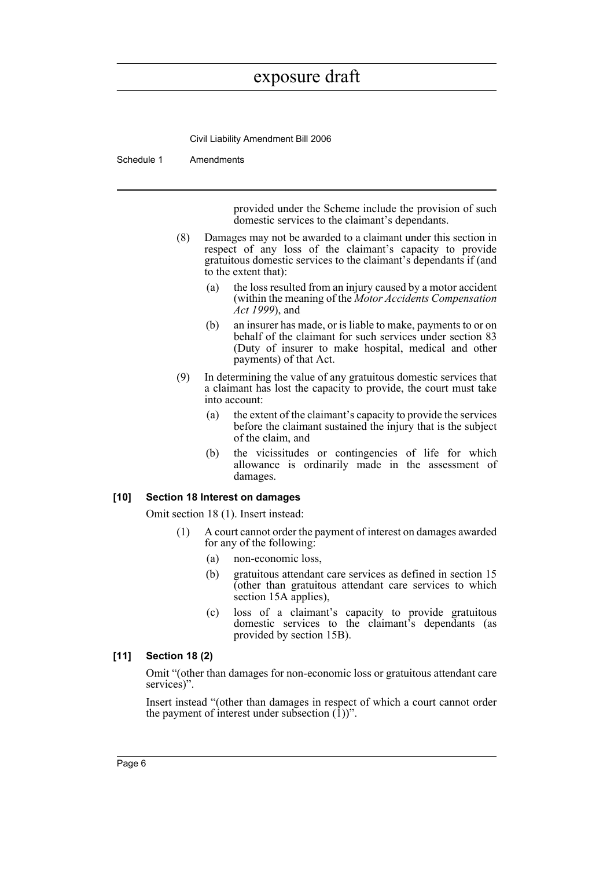Civil Liability Amendment Bill 2006

Schedule 1 Amendments

provided under the Scheme include the provision of such domestic services to the claimant's dependants.

- (8) Damages may not be awarded to a claimant under this section in respect of any loss of the claimant's capacity to provide gratuitous domestic services to the claimant's dependants if (and to the extent that):
	- (a) the loss resulted from an injury caused by a motor accident (within the meaning of the *Motor Accidents Compensation Act 1999*), and
	- (b) an insurer has made, or is liable to make, payments to or on behalf of the claimant for such services under section 83 (Duty of insurer to make hospital, medical and other payments) of that Act.
- (9) In determining the value of any gratuitous domestic services that a claimant has lost the capacity to provide, the court must take into account:
	- (a) the extent of the claimant's capacity to provide the services before the claimant sustained the injury that is the subject of the claim, and
	- (b) the vicissitudes or contingencies of life for which allowance is ordinarily made in the assessment of damages.

#### **[10] Section 18 Interest on damages**

Omit section 18 (1). Insert instead:

- (1) A court cannot order the payment of interest on damages awarded for any of the following:
	- (a) non-economic loss,
	- (b) gratuitous attendant care services as defined in section 15 (other than gratuitous attendant care services to which section 15A applies),
	- (c) loss of a claimant's capacity to provide gratuitous domestic services to the claimant's dependants (as provided by section 15B).

### **[11] Section 18 (2)**

Omit "(other than damages for non-economic loss or gratuitous attendant care services)".

Insert instead "(other than damages in respect of which a court cannot order the payment of interest under subsection  $(1)$ )".